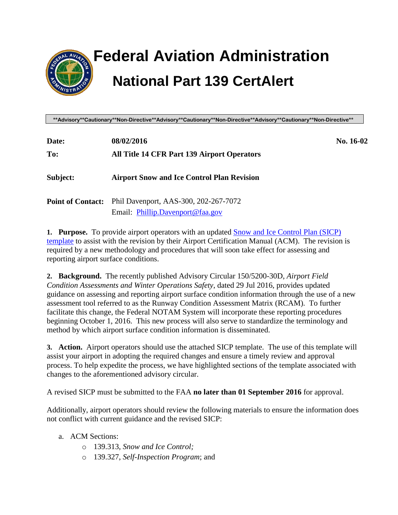

# **Federal Aviation Administration National Part 139 CertAlert**

**\*\*Advisory\*\*Cautionary\*\*Non-Directive\*\*Advisory\*\*Cautionary\*\*Non-Directive\*\*Advisory\*\*Cautionary\*\*Non-Directive\*\***

| Date:                    | 08/02/2016                                         | No. 16-02 |
|--------------------------|----------------------------------------------------|-----------|
| To:                      | <b>All Title 14 CFR Part 139 Airport Operators</b> |           |
| Subject:                 | <b>Airport Snow and Ice Control Plan Revision</b>  |           |
| <b>Point of Contact:</b> | Phil Davenport, AAS-300, 202-267-7072              |           |
|                          | Email: Phillip.Davenport@faa.gov                   |           |

**1. Purpose.** To provide airport operators with an updated [Snow and Ice Control Plan](http://www.faa.gov/airports/airport_safety/certalerts/media/snow-and-ice-control-plan-template-2016.docx) (SICP) [template](http://www.faa.gov/airports/airport_safety/certalerts/media/snow-and-ice-control-plan-template-2016.docx) to assist with the revision by their Airport Certification Manual (ACM). The revision is required by a new methodology and procedures that will soon take effect for assessing and reporting airport surface conditions.

**2. Background.** The recently published Advisory Circular 150/5200-30D, *Airport Field Condition Assessments and Winter Operations Safety*, dated 29 Jul 2016, provides updated guidance on assessing and reporting airport surface condition information through the use of a new assessment tool referred to as the Runway Condition Assessment Matrix (RCAM). To further facilitate this change, the Federal NOTAM System will incorporate these reporting procedures beginning October 1, 2016. This new process will also serve to standardize the terminology and method by which airport surface condition information is disseminated.

**3. Action.** Airport operators should use the attached SICP template. The use of this template will assist your airport in adopting the required changes and ensure a timely review and approval process. To help expedite the process, we have highlighted sections of the template associated with changes to the aforementioned advisory circular.

A revised SICP must be submitted to the FAA **no later than 01 September 2016** for approval.

Additionally, airport operators should review the following materials to ensure the information does not conflict with current guidance and the revised SICP:

#### a. ACM Sections:

- o 139.313, *Snow and Ice Control;*
- o 139.327, *Self-Inspection Program*; and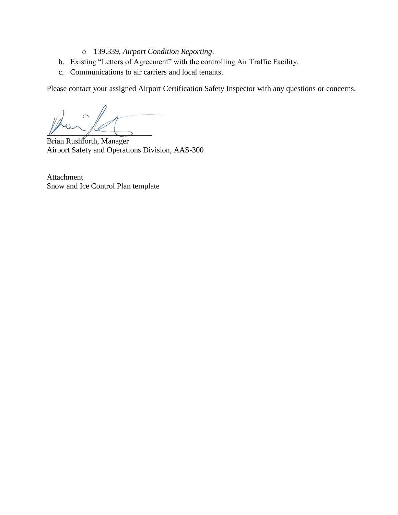- o 139.339, *Airport Condition Reporting*.
- b. Existing "Letters of Agreement" with the controlling Air Traffic Facility.
- c. Communications to air carriers and local tenants.

Please contact your assigned Airport Certification Safety Inspector with any questions or concerns.

 $\frac{1}{2}$ 

Brian Rushforth, Manager Airport Safety and Operations Division, AAS-300

Attachment Snow and Ice Control Plan template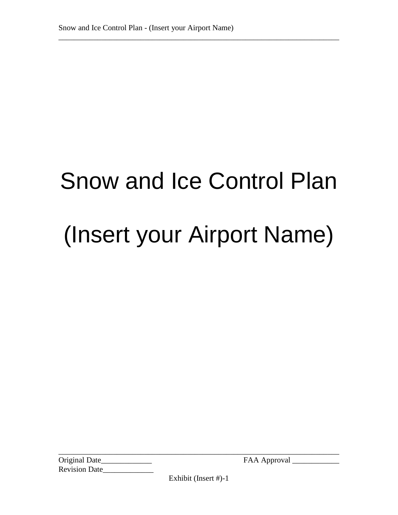# Snow and Ice Control Plan (Insert your Airport Name)

\_\_\_\_\_\_\_\_\_\_\_\_\_\_\_\_\_\_\_\_\_\_\_\_\_\_\_\_\_\_\_\_\_\_\_\_\_\_\_\_\_\_\_\_\_\_\_\_\_\_\_\_\_\_\_\_\_\_\_\_\_\_\_\_\_\_\_\_\_\_\_\_

Original Date\_\_\_\_\_\_\_\_\_\_\_\_\_ FAA Approval \_\_\_\_\_\_\_\_\_\_\_\_ Revision Date\_\_\_\_\_\_\_\_\_\_\_\_\_

Exhibit (Insert #)-1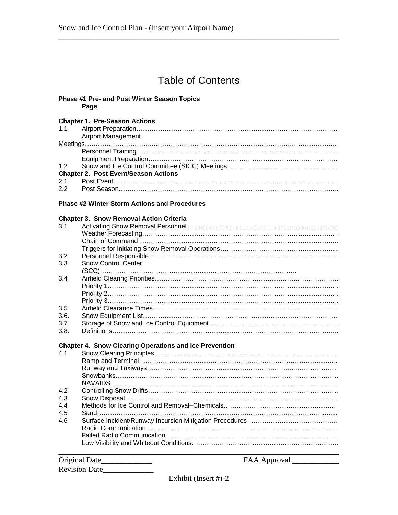### Table of Contents

\_\_\_\_\_\_\_\_\_\_\_\_\_\_\_\_\_\_\_\_\_\_\_\_\_\_\_\_\_\_\_\_\_\_\_\_\_\_\_\_\_\_\_\_\_\_\_\_\_\_\_\_\_\_\_\_\_\_\_\_\_\_\_\_\_\_\_\_\_\_\_\_

#### **Phase #1 Pre- and Post Winter Season Topics Page**

#### **Chapter 1. Pre-Season Actions**

| <b>Airport Management</b>                   |
|---------------------------------------------|
|                                             |
|                                             |
|                                             |
|                                             |
| <b>Chapter 2. Post Event/Season Actions</b> |
|                                             |
|                                             |

#### **Phase #2 Winter Storm Actions and Procedures**

#### **Chapter 3. Snow Removal Action Criteria**

| 3.1  |                                                               |
|------|---------------------------------------------------------------|
|      |                                                               |
|      |                                                               |
|      |                                                               |
| 3.2  |                                                               |
| 3.3  | <b>Snow Control Center</b>                                    |
|      |                                                               |
| 3.4  |                                                               |
|      |                                                               |
|      |                                                               |
|      |                                                               |
| 3.5. |                                                               |
| 3.6. |                                                               |
| 3.7. |                                                               |
| 3.8. |                                                               |
|      |                                                               |
|      |                                                               |
|      | <b>Chapter 4. Snow Clearing Operations and Ice Prevention</b> |
| 41   |                                                               |
|      |                                                               |
|      |                                                               |
|      |                                                               |
|      |                                                               |
| 4.2  |                                                               |
| 4.3  |                                                               |
| 4.4  |                                                               |
| 4.5  |                                                               |
| 4.6  |                                                               |
|      |                                                               |
|      |                                                               |

| Original Date_       | FAA Approval |
|----------------------|--------------|
| <b>Revision Date</b> |              |
|                      |              |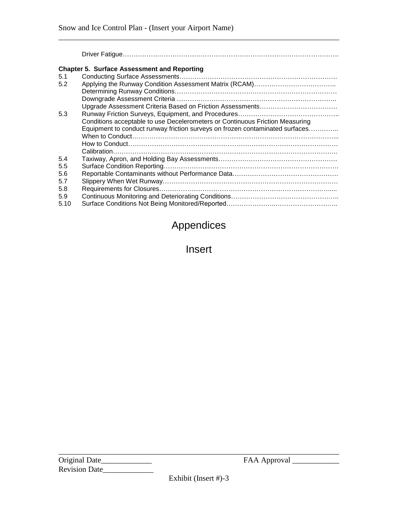#### **Chapter 5. Surface Assessment and Reporting**

| 5.1  |                                                                              |
|------|------------------------------------------------------------------------------|
| 5.2  |                                                                              |
|      |                                                                              |
|      |                                                                              |
|      |                                                                              |
| 5.3  |                                                                              |
|      | Conditions acceptable to use Decelerometers or Continuous Friction Measuring |
|      | Equipment to conduct runway friction surveys on frozen contaminated surfaces |
|      |                                                                              |
|      |                                                                              |
|      |                                                                              |
| 5.4  |                                                                              |
| 5.5  |                                                                              |
| 5.6  |                                                                              |
| 5.7  |                                                                              |
| 5.8  |                                                                              |
| 5.9  |                                                                              |
| 5.10 |                                                                              |
|      |                                                                              |

\_\_\_\_\_\_\_\_\_\_\_\_\_\_\_\_\_\_\_\_\_\_\_\_\_\_\_\_\_\_\_\_\_\_\_\_\_\_\_\_\_\_\_\_\_\_\_\_\_\_\_\_\_\_\_\_\_\_\_\_\_\_\_\_\_\_\_\_\_\_\_\_

Driver Fatigue……………………………………………………………………………………….

## Appendices

Insert

Original Date\_\_\_\_\_\_\_\_\_\_\_\_\_ FAA Approval \_\_\_\_\_\_\_\_\_\_\_\_ Revision Date\_\_\_\_\_\_\_\_\_\_\_\_\_

Exhibit (Insert #)-3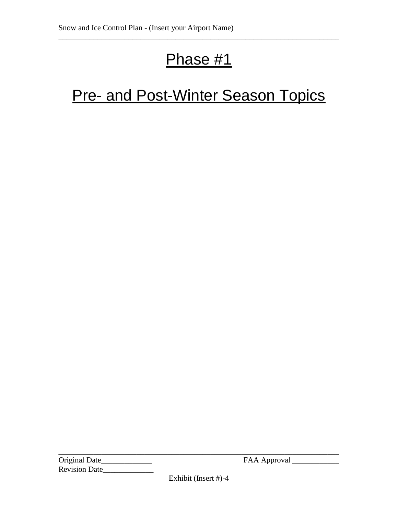## Phase #1

\_\_\_\_\_\_\_\_\_\_\_\_\_\_\_\_\_\_\_\_\_\_\_\_\_\_\_\_\_\_\_\_\_\_\_\_\_\_\_\_\_\_\_\_\_\_\_\_\_\_\_\_\_\_\_\_\_\_\_\_\_\_\_\_\_\_\_\_\_\_\_\_

## **Pre- and Post-Winter Season Topics**

Original Date\_\_\_\_\_\_\_\_\_\_\_\_\_ FAA Approval \_\_\_\_\_\_\_\_\_\_\_\_ Revision Date

Exhibit (Insert #)-4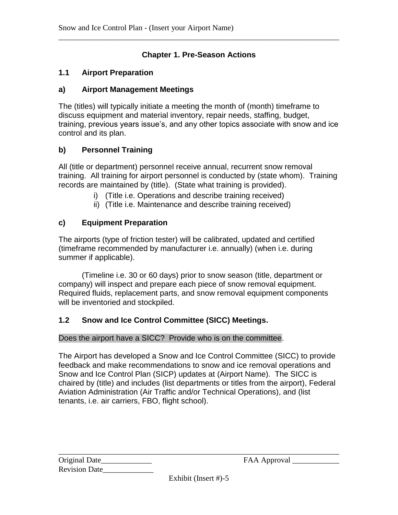#### **Chapter 1. Pre-Season Actions**

\_\_\_\_\_\_\_\_\_\_\_\_\_\_\_\_\_\_\_\_\_\_\_\_\_\_\_\_\_\_\_\_\_\_\_\_\_\_\_\_\_\_\_\_\_\_\_\_\_\_\_\_\_\_\_\_\_\_\_\_\_\_\_\_\_\_\_\_\_\_\_\_

#### **1.1 Airport Preparation**

#### **a) Airport Management Meetings**

The (titles) will typically initiate a meeting the month of (month) timeframe to discuss equipment and material inventory, repair needs, staffing, budget, training, previous years issue's, and any other topics associate with snow and ice control and its plan.

#### **b) Personnel Training**

All (title or department) personnel receive annual, recurrent snow removal training. All training for airport personnel is conducted by (state whom). Training records are maintained by (title). (State what training is provided).

- i) (Title i.e. Operations and describe training received)
- ii) (Title i.e. Maintenance and describe training received)

#### **c) Equipment Preparation**

The airports (type of friction tester) will be calibrated, updated and certified (timeframe recommended by manufacturer i.e. annually) (when i.e. during summer if applicable).

(Timeline i.e. 30 or 60 days) prior to snow season (title, department or company) will inspect and prepare each piece of snow removal equipment. Required fluids, replacement parts, and snow removal equipment components will be inventoried and stockpiled.

#### **1.2 Snow and Ice Control Committee (SICC) Meetings.**

#### Does the airport have a SICC? Provide who is on the committee.

The Airport has developed a Snow and Ice Control Committee (SICC) to provide feedback and make recommendations to snow and ice removal operations and Snow and Ice Control Plan (SICP) updates at (Airport Name). The SICC is chaired by (title) and includes (list departments or titles from the airport), Federal Aviation Administration (Air Traffic and/or Technical Operations), and (list tenants, i.e. air carriers, FBO, flight school).

| Original Date_       |  |
|----------------------|--|
| <b>Revision Date</b> |  |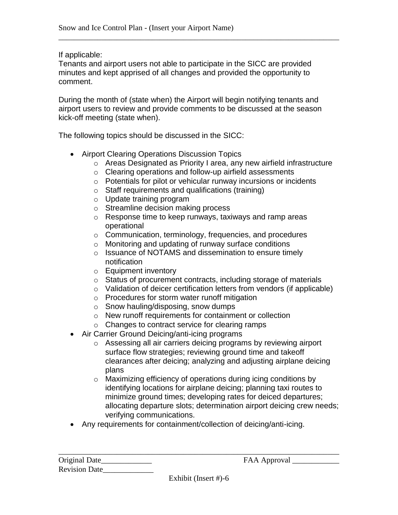If applicable:

Tenants and airport users not able to participate in the SICC are provided minutes and kept apprised of all changes and provided the opportunity to comment.

\_\_\_\_\_\_\_\_\_\_\_\_\_\_\_\_\_\_\_\_\_\_\_\_\_\_\_\_\_\_\_\_\_\_\_\_\_\_\_\_\_\_\_\_\_\_\_\_\_\_\_\_\_\_\_\_\_\_\_\_\_\_\_\_\_\_\_\_\_\_\_\_

During the month of (state when) the Airport will begin notifying tenants and airport users to review and provide comments to be discussed at the season kick-off meeting (state when).

The following topics should be discussed in the SICC:

- Airport Clearing Operations Discussion Topics
	- o Areas Designated as Priority I area, any new airfield infrastructure
	- o Clearing operations and follow-up airfield assessments
	- o Potentials for pilot or vehicular runway incursions or incidents
	- o Staff requirements and qualifications (training)
	- o Update training program
	- o Streamline decision making process
	- o Response time to keep runways, taxiways and ramp areas operational
	- o Communication, terminology, frequencies, and procedures
	- o Monitoring and updating of runway surface conditions
	- o Issuance of NOTAMS and dissemination to ensure timely notification
	- o Equipment inventory
	- o Status of procurement contracts, including storage of materials
	- o Validation of deicer certification letters from vendors (if applicable)
	- o Procedures for storm water runoff mitigation
	- o Snow hauling/disposing, snow dumps
	- o New runoff requirements for containment or collection
	- o Changes to contract service for clearing ramps
- Air Carrier Ground Deicing/anti-icing programs
	- o Assessing all air carriers deicing programs by reviewing airport surface flow strategies; reviewing ground time and takeoff clearances after deicing; analyzing and adjusting airplane deicing plans
	- o Maximizing efficiency of operations during icing conditions by identifying locations for airplane deicing; planning taxi routes to minimize ground times; developing rates for deiced departures; allocating departure slots; determination airport deicing crew needs; verifying communications.
- Any requirements for containment/collection of deicing/anti-icing.

| Original Date        |  |
|----------------------|--|
| <b>Revision Date</b> |  |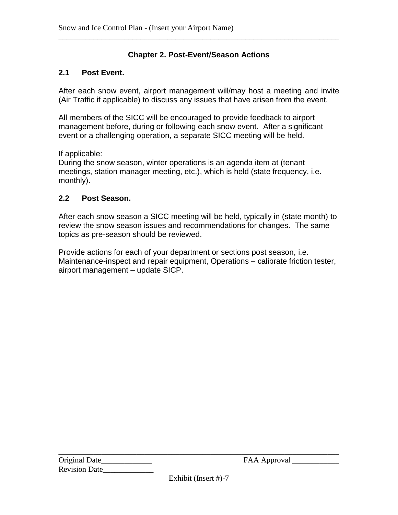#### **Chapter 2. Post-Event/Season Actions**

\_\_\_\_\_\_\_\_\_\_\_\_\_\_\_\_\_\_\_\_\_\_\_\_\_\_\_\_\_\_\_\_\_\_\_\_\_\_\_\_\_\_\_\_\_\_\_\_\_\_\_\_\_\_\_\_\_\_\_\_\_\_\_\_\_\_\_\_\_\_\_\_

#### **2.1 Post Event.**

After each snow event, airport management will/may host a meeting and invite (Air Traffic if applicable) to discuss any issues that have arisen from the event.

All members of the SICC will be encouraged to provide feedback to airport management before, during or following each snow event. After a significant event or a challenging operation, a separate SICC meeting will be held.

If applicable:

During the snow season, winter operations is an agenda item at (tenant meetings, station manager meeting, etc.), which is held (state frequency, i.e. monthly).

#### **2.2 Post Season.**

After each snow season a SICC meeting will be held, typically in (state month) to review the snow season issues and recommendations for changes. The same topics as pre-season should be reviewed.

Provide actions for each of your department or sections post season, i.e. Maintenance-inspect and repair equipment, Operations – calibrate friction tester, airport management – update SICP.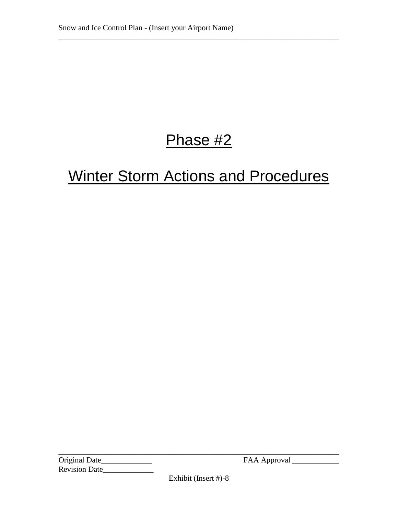## Phase #2

\_\_\_\_\_\_\_\_\_\_\_\_\_\_\_\_\_\_\_\_\_\_\_\_\_\_\_\_\_\_\_\_\_\_\_\_\_\_\_\_\_\_\_\_\_\_\_\_\_\_\_\_\_\_\_\_\_\_\_\_\_\_\_\_\_\_\_\_\_\_\_\_

## Winter Storm Actions and Procedures

Original Date\_\_\_\_\_\_\_\_\_\_\_\_\_ FAA Approval \_\_\_\_\_\_\_\_\_\_\_\_ Revision Date\_\_\_\_\_\_\_\_\_\_\_\_\_

Exhibit (Insert #)-8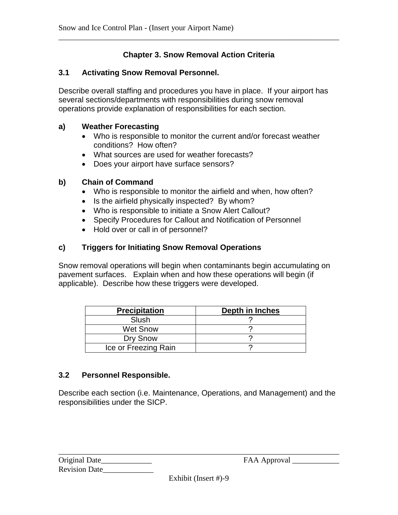#### **Chapter 3. Snow Removal Action Criteria**

\_\_\_\_\_\_\_\_\_\_\_\_\_\_\_\_\_\_\_\_\_\_\_\_\_\_\_\_\_\_\_\_\_\_\_\_\_\_\_\_\_\_\_\_\_\_\_\_\_\_\_\_\_\_\_\_\_\_\_\_\_\_\_\_\_\_\_\_\_\_\_\_

#### **3.1 Activating Snow Removal Personnel.**

Describe overall staffing and procedures you have in place. If your airport has several sections/departments with responsibilities during snow removal operations provide explanation of responsibilities for each section.

#### **a) Weather Forecasting**

- Who is responsible to monitor the current and/or forecast weather conditions? How often?
- What sources are used for weather forecasts?
- Does your airport have surface sensors?

#### **b) Chain of Command**

- Who is responsible to monitor the airfield and when, how often?
- Is the airfield physically inspected? By whom?
- Who is responsible to initiate a Snow Alert Callout?
- Specify Procedures for Callout and Notification of Personnel
- Hold over or call in of personnel?

#### **c) Triggers for Initiating Snow Removal Operations**

Snow removal operations will begin when contaminants begin accumulating on pavement surfaces. Explain when and how these operations will begin (if applicable). Describe how these triggers were developed.

| <b>Precipitation</b> | Depth in Inches |  |  |
|----------------------|-----------------|--|--|
| Slush                |                 |  |  |
| <b>Wet Snow</b>      |                 |  |  |
| Dry Snow             |                 |  |  |
| Ice or Freezing Rain |                 |  |  |

#### **3.2 Personnel Responsible.**

Describe each section (i.e. Maintenance, Operations, and Management) and the responsibilities under the SICP.

| Original Date        |  |
|----------------------|--|
| <b>Revision Date</b> |  |

 $FAA$  Approval  $\_\_$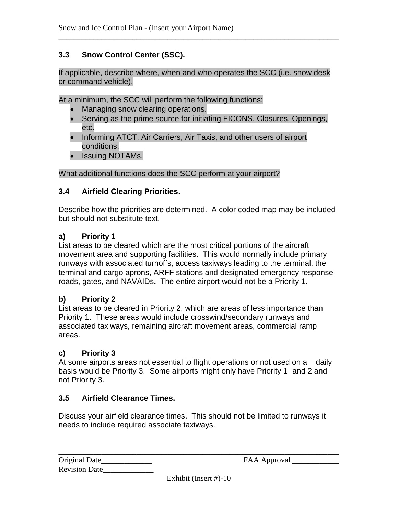#### **3.3 Snow Control Center (SSC).**

If applicable, describe where, when and who operates the SCC (i.e. snow desk or command vehicle).

\_\_\_\_\_\_\_\_\_\_\_\_\_\_\_\_\_\_\_\_\_\_\_\_\_\_\_\_\_\_\_\_\_\_\_\_\_\_\_\_\_\_\_\_\_\_\_\_\_\_\_\_\_\_\_\_\_\_\_\_\_\_\_\_\_\_\_\_\_\_\_\_

At a minimum, the SCC will perform the following functions:

- Managing snow clearing operations.
- Serving as the prime source for initiating FICONS, Closures, Openings, etc.
- Informing ATCT, Air Carriers, Air Taxis, and other users of airport conditions.
- Issuing NOTAMs.

What additional functions does the SCC perform at your airport?

#### **3.4 Airfield Clearing Priorities.**

Describe how the priorities are determined. A color coded map may be included but should not substitute text.

#### **a) Priority 1**

List areas to be cleared which are the most critical portions of the aircraft movement area and supporting facilities. This would normally include primary runways with associated turnoffs, access taxiways leading to the terminal, the terminal and cargo aprons, ARFF stations and designated emergency response roads, gates, and NAVAIDs**.** The entire airport would not be a Priority 1.

#### **b) Priority 2**

List areas to be cleared in Priority 2, which are areas of less importance than Priority 1. These areas would include crosswind/secondary runways and associated taxiways, remaining aircraft movement areas, commercial ramp areas.

#### **c) Priority 3**

At some airports areas not essential to flight operations or not used on a daily basis would be Priority 3. Some airports might only have Priority 1 and 2 and not Priority 3.

#### **3.5 Airfield Clearance Times.**

Discuss your airfield clearance times. This should not be limited to runways it needs to include required associate taxiways.

| Original Date        |  |
|----------------------|--|
| <b>Revision Date</b> |  |

Original Date\_\_\_\_\_\_\_\_\_\_\_\_\_ FAA Approval \_\_\_\_\_\_\_\_\_\_\_\_

Exhibit (Insert #)-10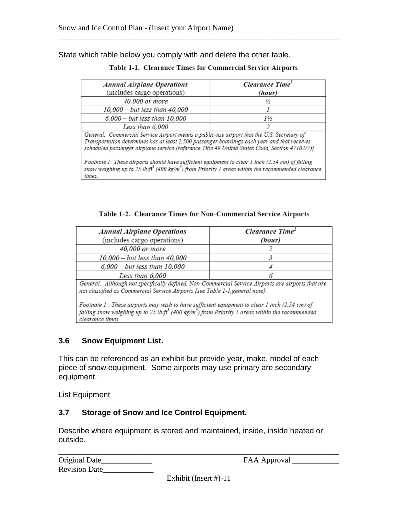State which table below you comply with and delete the other table.

| <b>Annual Airplane Operations</b><br>(includes cargo operations)                                                                                                                                                                                                                             | Clearance Time <sup>1</sup><br>(hour) |  |  |
|----------------------------------------------------------------------------------------------------------------------------------------------------------------------------------------------------------------------------------------------------------------------------------------------|---------------------------------------|--|--|
| 40,000 or more                                                                                                                                                                                                                                                                               | ⅓                                     |  |  |
| 10,000 - but less than 40,000                                                                                                                                                                                                                                                                |                                       |  |  |
| $6,000 - but less than 10,000$                                                                                                                                                                                                                                                               | 1½                                    |  |  |
| Less than 6,000                                                                                                                                                                                                                                                                              |                                       |  |  |
| General: Commercial Service Airport means a public-use airport that the U.S. Secretary of<br>Transportation determines has at least 2,500 passenger boardings each year and that receives<br>scheduled passenger airplane service [reference Title 49 United States Code, Section 47102(7)]. |                                       |  |  |
| Footnote 1: These airports should have sufficient equipment to clear 1 inch (2.54 cm) of falling<br>snow weighing up to 25 lb/ $f^3$ (400 kg/m <sup>3</sup> ) from Priority 1 areas within the recommended clearance                                                                         |                                       |  |  |

|  |  |  | Table 1-1. Clearance Times for Commercial Service Airports |  |  |
|--|--|--|------------------------------------------------------------|--|--|
|--|--|--|------------------------------------------------------------|--|--|

\_\_\_\_\_\_\_\_\_\_\_\_\_\_\_\_\_\_\_\_\_\_\_\_\_\_\_\_\_\_\_\_\_\_\_\_\_\_\_\_\_\_\_\_\_\_\_\_\_\_\_\_\_\_\_\_\_\_\_\_\_\_\_\_\_\_\_\_\_\_\_\_

Table 1-2. Clearance Times for Non-Commercial Service Airports

| <b>Annual Airplane Operations</b><br>(includes cargo operations) | Clearance Time <sup>1</sup><br>(hour) |
|------------------------------------------------------------------|---------------------------------------|
| 40,000 or more                                                   |                                       |
| 10,000 - but less than 40,000                                    |                                       |
| 6,000 - but less than 10,000                                     |                                       |
| Less than 6,000                                                  |                                       |

General: Although not specifically defined, Non-Commercial Service Airports are airports that are not classified as Commercial Service Airports [see Table 1-1, general note].

Footnote 1: These airports may wish to have sufficient equipment to clear 1 inch (2.54 cm) of falling snow weighing up to 25 lb/ft<sup>3</sup> (400 kg/m<sup>3</sup>) from Priority 1 areas within the recommended clearance times.

#### **3.6 Snow Equipment List.**

times.

This can be referenced as an exhibit but provide year, make, model of each piece of snow equipment. Some airports may use primary are secondary equipment.

List Equipment

#### **3.7 Storage of Snow and Ice Control Equipment.**

Describe where equipment is stored and maintained, inside, inside heated or outside.

| Original Date        |  |
|----------------------|--|
| <b>Revision Date</b> |  |

Original Date\_\_\_\_\_\_\_\_\_\_\_\_\_ FAA Approval \_\_\_\_\_\_\_\_\_\_\_\_

Exhibit (Insert #)-11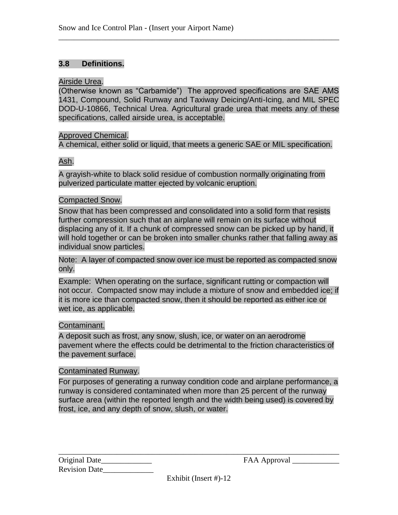#### **3.8 Definitions.**

#### Airside Urea.

(Otherwise known as "Carbamide") The approved specifications are SAE AMS 1431, Compound, Solid Runway and Taxiway Deicing/Anti-Icing, and MIL SPEC DOD-U-10866, Technical Urea. Agricultural grade urea that meets any of these specifications, called airside urea, is acceptable.

\_\_\_\_\_\_\_\_\_\_\_\_\_\_\_\_\_\_\_\_\_\_\_\_\_\_\_\_\_\_\_\_\_\_\_\_\_\_\_\_\_\_\_\_\_\_\_\_\_\_\_\_\_\_\_\_\_\_\_\_\_\_\_\_\_\_\_\_\_\_\_\_

#### Approved Chemical.

A chemical, either solid or liquid, that meets a generic SAE or MIL specification.

#### Ash.

A grayish-white to black solid residue of combustion normally originating from pulverized particulate matter ejected by volcanic eruption.

#### Compacted Snow.

Snow that has been compressed and consolidated into a solid form that resists further compression such that an airplane will remain on its surface without displacing any of it. If a chunk of compressed snow can be picked up by hand, it will hold together or can be broken into smaller chunks rather that falling away as individual snow particles.

Note: A layer of compacted snow over ice must be reported as compacted snow only.

Example: When operating on the surface, significant rutting or compaction will not occur. Compacted snow may include a mixture of snow and embedded ice; if it is more ice than compacted snow, then it should be reported as either ice or wet ice, as applicable.

#### Contaminant.

A deposit such as frost, any snow, slush, ice, or water on an aerodrome pavement where the effects could be detrimental to the friction characteristics of the pavement surface.

#### Contaminated Runway.

For purposes of generating a runway condition code and airplane performance, a runway is considered contaminated when more than 25 percent of the runway surface area (within the reported length and the width being used) is covered by frost, ice, and any depth of snow, slush, or water.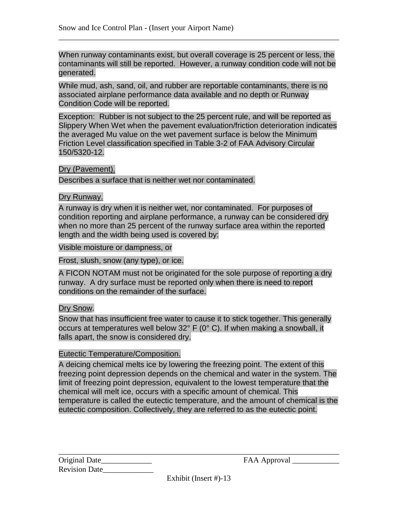When runway contaminants exist, but overall coverage is 25 percent or less, the contaminants will still be reported. However, a runway condition code will not be generated.

\_\_\_\_\_\_\_\_\_\_\_\_\_\_\_\_\_\_\_\_\_\_\_\_\_\_\_\_\_\_\_\_\_\_\_\_\_\_\_\_\_\_\_\_\_\_\_\_\_\_\_\_\_\_\_\_\_\_\_\_\_\_\_\_\_\_\_\_\_\_\_\_

While mud, ash, sand, oil, and rubber are reportable contaminants, there is no associated airplane performance data available and no depth or Runway Condition Code will be reported.

Exception: Rubber is not subject to the 25 percent rule, and will be reported as Slippery When Wet when the pavement evaluation/friction deterioration indicates the averaged Mu value on the wet pavement surface is below the Minimum Friction Level classification specified in Table 3-2 of FAA Advisory Circular 150/5320-12.

#### Dry (Pavement).

Describes a surface that is neither wet nor contaminated.

#### Dry Runway.

A runway is dry when it is neither wet, nor contaminated. For purposes of condition reporting and airplane performance, a runway can be considered dry when no more than 25 percent of the runway surface area within the reported length and the width being used is covered by:

Visible moisture or dampness, or

Frost, slush, snow (any type), or ice.

A FICON NOTAM must not be originated for the sole purpose of reporting a dry runway. A dry surface must be reported only when there is need to report conditions on the remainder of the surface.

#### Dry Snow.

Snow that has insufficient free water to cause it to stick together. This generally occurs at temperatures well below 32° F (0° C). If when making a snowball, it falls apart, the snow is considered dry.

#### Eutectic Temperature/Composition.

A deicing chemical melts ice by lowering the freezing point. The extent of this freezing point depression depends on the chemical and water in the system. The limit of freezing point depression, equivalent to the lowest temperature that the chemical will melt ice, occurs with a specific amount of chemical. This temperature is called the eutectic temperature, and the amount of chemical is the eutectic composition. Collectively, they are referred to as the eutectic point.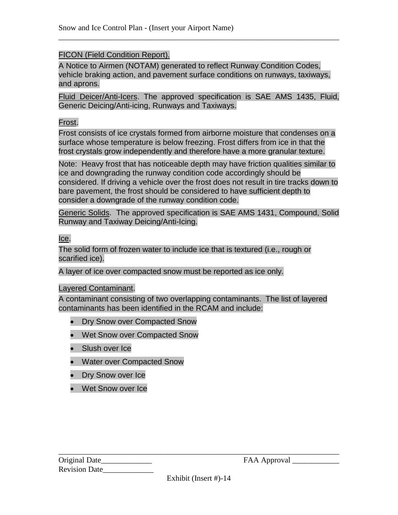#### FICON (Field Condition Report).

A Notice to Airmen (NOTAM) generated to reflect Runway Condition Codes, vehicle braking action, and pavement surface conditions on runways, taxiways, and aprons.

\_\_\_\_\_\_\_\_\_\_\_\_\_\_\_\_\_\_\_\_\_\_\_\_\_\_\_\_\_\_\_\_\_\_\_\_\_\_\_\_\_\_\_\_\_\_\_\_\_\_\_\_\_\_\_\_\_\_\_\_\_\_\_\_\_\_\_\_\_\_\_\_

Fluid Deicer/Anti-Icers. The approved specification is SAE AMS 1435, Fluid, Generic Deicing/Anti-icing, Runways and Taxiways.

#### Frost.

Frost consists of ice crystals formed from airborne moisture that condenses on a surface whose temperature is below freezing. Frost differs from ice in that the frost crystals grow independently and therefore have a more granular texture.

Note: Heavy frost that has noticeable depth may have friction qualities similar to ice and downgrading the runway condition code accordingly should be considered. If driving a vehicle over the frost does not result in tire tracks down to bare pavement, the frost should be considered to have sufficient depth to consider a downgrade of the runway condition code.

Generic Solids. The approved specification is SAE AMS 1431, Compound, Solid Runway and Taxiway Deicing/Anti-Icing.

Ice.

The solid form of frozen water to include ice that is textured (i.e., rough or scarified ice).

A layer of ice over compacted snow must be reported as ice only.

#### Layered Contaminant.

A contaminant consisting of two overlapping contaminants. The list of layered contaminants has been identified in the RCAM and include:

- Dry Snow over Compacted Snow
- Wet Snow over Compacted Snow
- Slush over Ice
- Water over Compacted Snow
- Dry Snow over Ice
- Wet Snow over Ice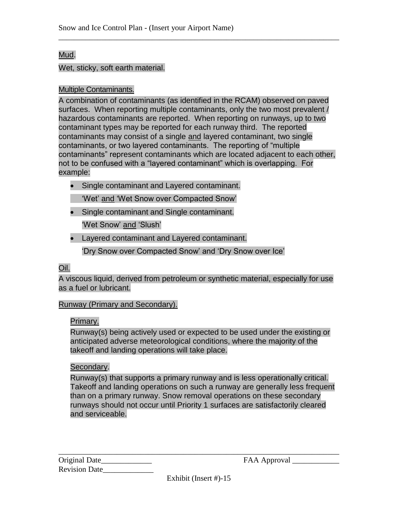#### Mud.

#### Wet, sticky, soft earth material.

#### Multiple Contaminants.

A combination of contaminants (as identified in the RCAM) observed on paved surfaces. When reporting multiple contaminants, only the two most prevalent / hazardous contaminants are reported. When reporting on runways, up to two contaminant types may be reported for each runway third. The reported contaminants may consist of a single and layered contaminant, two single contaminants, or two layered contaminants. The reporting of "multiple contaminants" represent contaminants which are located adjacent to each other, not to be confused with a "layered contaminant" which is overlapping. For example:

\_\_\_\_\_\_\_\_\_\_\_\_\_\_\_\_\_\_\_\_\_\_\_\_\_\_\_\_\_\_\_\_\_\_\_\_\_\_\_\_\_\_\_\_\_\_\_\_\_\_\_\_\_\_\_\_\_\_\_\_\_\_\_\_\_\_\_\_\_\_\_\_

- Single contaminant and Layered contaminant.
	- 'Wet' and 'Wet Snow over Compacted Snow'
- Single contaminant and Single contaminant. 'Wet Snow' and 'Slush'
- Layered contaminant and Layered contaminant.

'Dry Snow over Compacted Snow' and 'Dry Snow over Ice'

#### Oil.

A viscous liquid, derived from petroleum or synthetic material, especially for use as a fuel or lubricant.

#### Runway (Primary and Secondary).

#### Primary.

Runway(s) being actively used or expected to be used under the existing or anticipated adverse meteorological conditions, where the majority of the takeoff and landing operations will take place.

#### Secondary.

Runway(s) that supports a primary runway and is less operationally critical. Takeoff and landing operations on such a runway are generally less frequent than on a primary runway. Snow removal operations on these secondary runways should not occur until Priority 1 surfaces are satisfactorily cleared and serviceable.

Original Date\_\_\_\_\_\_\_\_\_\_\_\_\_ FAA Approval \_\_\_\_\_\_\_\_\_\_\_\_ Revision Date\_\_\_\_\_\_\_\_\_\_\_\_\_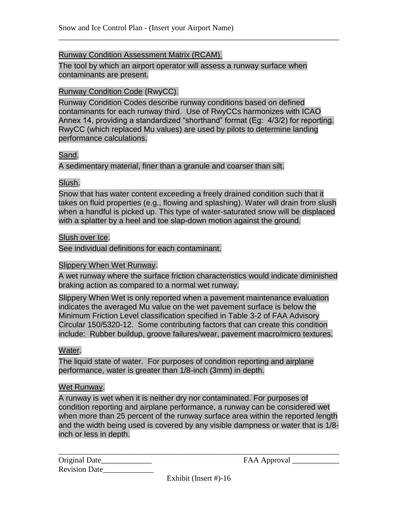#### Runway Condition Assessment Matrix (RCAM).

The tool by which an airport operator will assess a runway surface when contaminants are present.

#### Runway Condition Code (RwyCC).

Runway Condition Codes describe runway conditions based on defined contaminants for each runway third. Use of RwyCCs harmonizes with ICAO Annex 14, providing a standardized "shorthand" format (Eg: 4/3/2) for reporting. RwyCC (which replaced Mu values) are used by pilots to determine landing performance calculations.

\_\_\_\_\_\_\_\_\_\_\_\_\_\_\_\_\_\_\_\_\_\_\_\_\_\_\_\_\_\_\_\_\_\_\_\_\_\_\_\_\_\_\_\_\_\_\_\_\_\_\_\_\_\_\_\_\_\_\_\_\_\_\_\_\_\_\_\_\_\_\_\_

#### Sand.

A sedimentary material, finer than a granule and coarser than silt.

#### Slush.

Snow that has water content exceeding a freely drained condition such that it takes on fluid properties (e.g., flowing and splashing). Water will drain from slush when a handful is picked up. This type of water-saturated snow will be displaced with a splatter by a heel and toe slap-down motion against the ground.

#### Slush over Ice.

See individual definitions for each contaminant.

#### Slippery When Wet Runway.

A wet runway where the surface friction characteristics would indicate diminished braking action as compared to a normal wet runway.

Slippery When Wet is only reported when a pavement maintenance evaluation indicates the averaged Mu value on the wet pavement surface is below the Minimum Friction Level classification specified in Table 3-2 of FAA Advisory Circular 150/5320-12. Some contributing factors that can create this condition include: Rubber buildup, groove failures/wear, pavement macro/micro textures.

#### Water.

The liquid state of water. For purposes of condition reporting and airplane performance, water is greater than 1/8-inch (3mm) in depth.

#### Wet Runway.

A runway is wet when it is neither dry nor contaminated. For purposes of condition reporting and airplane performance, a runway can be considered wet when more than 25 percent of the runway surface area within the reported length and the width being used is covered by any visible dampness or water that is 1/8 inch or less in depth.

| Original Date        |  |
|----------------------|--|
| <b>Revision Date</b> |  |

Original Date\_\_\_\_\_\_\_\_\_\_\_\_\_ FAA Approval \_\_\_\_\_\_\_\_\_\_\_\_

Exhibit (Insert #)-16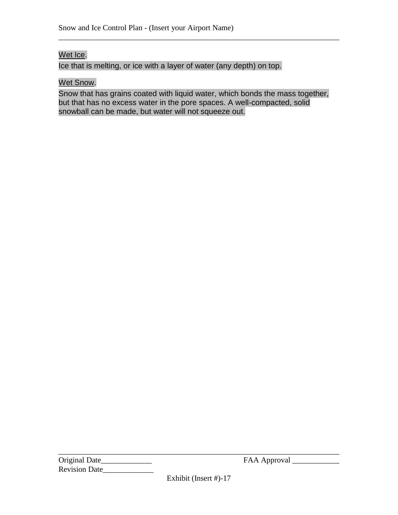#### Wet Ice.

Ice that is melting, or ice with a layer of water (any depth) on top.

#### Wet Snow.

Snow that has grains coated with liquid water, which bonds the mass together, but that has no excess water in the pore spaces. A well-compacted, solid snowball can be made, but water will not squeeze out.

\_\_\_\_\_\_\_\_\_\_\_\_\_\_\_\_\_\_\_\_\_\_\_\_\_\_\_\_\_\_\_\_\_\_\_\_\_\_\_\_\_\_\_\_\_\_\_\_\_\_\_\_\_\_\_\_\_\_\_\_\_\_\_\_\_\_\_\_\_\_\_\_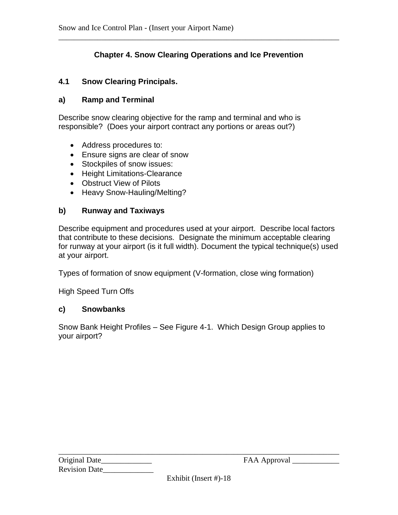#### **Chapter 4. Snow Clearing Operations and Ice Prevention**

\_\_\_\_\_\_\_\_\_\_\_\_\_\_\_\_\_\_\_\_\_\_\_\_\_\_\_\_\_\_\_\_\_\_\_\_\_\_\_\_\_\_\_\_\_\_\_\_\_\_\_\_\_\_\_\_\_\_\_\_\_\_\_\_\_\_\_\_\_\_\_\_

#### **4.1 Snow Clearing Principals.**

#### **a) Ramp and Terminal**

Describe snow clearing objective for the ramp and terminal and who is responsible? (Does your airport contract any portions or areas out?)

- Address procedures to:
- Ensure signs are clear of snow
- Stockpiles of snow issues:
- Height Limitations-Clearance
- Obstruct View of Pilots
- Heavy Snow-Hauling/Melting?

#### **b) Runway and Taxiways**

Describe equipment and procedures used at your airport. Describe local factors that contribute to these decisions. Designate the minimum acceptable clearing for runway at your airport (is it full width). Document the typical technique(s) used at your airport.

Types of formation of snow equipment (V-formation, close wing formation)

High Speed Turn Offs

#### **c) Snowbanks**

Snow Bank Height Profiles – See Figure 4-1. Which Design Group applies to your airport?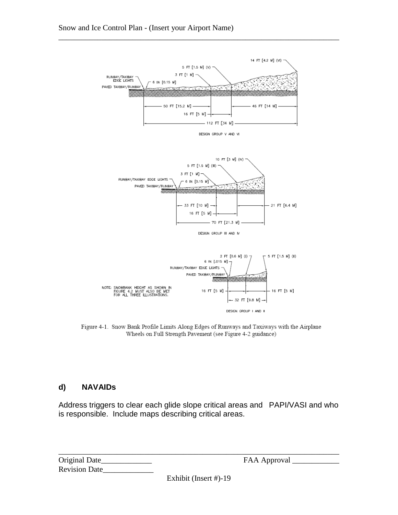

\_\_\_\_\_\_\_\_\_\_\_\_\_\_\_\_\_\_\_\_\_\_\_\_\_\_\_\_\_\_\_\_\_\_\_\_\_\_\_\_\_\_\_\_\_\_\_\_\_\_\_\_\_\_\_\_\_\_\_\_\_\_\_\_\_\_\_\_\_\_\_\_

Figure 4-1. Snow Bank Profile Limits Along Edges of Runways and Taxiways with the Airplane Wheels on Full Strength Pavement (see Figure 4-2 guidance)

#### **d) NAVAIDs**

Address triggers to clear each glide slope critical areas and PAPI/VASI and who is responsible. Include maps describing critical areas.

| Original Date        |  |
|----------------------|--|
| <b>Revision Date</b> |  |

FAA Approval \_\_

Exhibit (Insert #)-19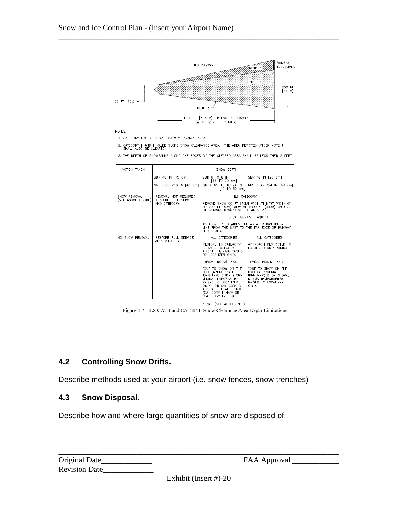

\_\_\_\_\_\_\_\_\_\_\_\_\_\_\_\_\_\_\_\_\_\_\_\_\_\_\_\_\_\_\_\_\_\_\_\_\_\_\_\_\_\_\_\_\_\_\_\_\_\_\_\_\_\_\_\_\_\_\_\_\_\_\_\_\_\_\_\_\_\_\_\_

1. CATEGORY I GLIDE SLOPE SNOW CLEARANCE AREA.

2. CATEGORY II AND III GLIDE SLOPE SNOW CLEARANCE AREA. THE AREA DEPICTED UNDER NOTE 1 SHALL ALSO BE CLEARED.

3. THE DEPTH OF SNOWBANKS ALONG THE EDGES OF THE CLEARED AREA SHALL BE LESS THEN 2 FEET.

| ACTION TAKEN                       | SNOW DEPTH                                   |                                                                                                                                                                                                                      |                                                                                                                                    |
|------------------------------------|----------------------------------------------|----------------------------------------------------------------------------------------------------------------------------------------------------------------------------------------------------------------------|------------------------------------------------------------------------------------------------------------------------------------|
|                                    | $SBR < 6 IN$ [15 cm]                         | SBR 6 TO 8 IN<br>15 TO 20 cm                                                                                                                                                                                         | SBR >8 IN [20 cm]                                                                                                                  |
|                                    | NR. CEGS <18 IN [45 cm]                      | NR. CEGS 18 TO 24 IN<br>[45 TO 60 cm]                                                                                                                                                                                | NR. CEGS <24 IN [60 cm]                                                                                                            |
| SNOW REMOVAL<br>(SEE ABOVE FIGURE) | REMOVAL NOT REQUIRED<br>RESTORE FULL SERVICE |                                                                                                                                                                                                                      | ILS CATEGORY I                                                                                                                     |
|                                    | AND CATEGORY.                                | OF RUNWAY TOWARD MIDDLE AMRKER.                                                                                                                                                                                      | REMOVE SNOW 50 FT [15M] WIDE AT MAST WIDENING<br>TO 200 FT [60M] WIDE AT 1000 FT [300M] OR END                                     |
|                                    |                                              |                                                                                                                                                                                                                      | ILS CATEGORIES II AND III                                                                                                          |
|                                    |                                              | AS ABOVE PLUS WIDEN THE AREA TO INCLUDE A<br>THRESHOLD.                                                                                                                                                              | LINE FROM THE MAST TO THE FAR EDGE OF RUNWAY                                                                                       |
| NO SNOW REMOVAL                    | RESTORE FULL SERVICE<br>AND CATEGORY.        | ALL CATEGORIES                                                                                                                                                                                                       | ALL CATEGORIES                                                                                                                     |
|                                    |                                              | RESTORE TO CATEGORY I<br>SERVICE, CATEGORY D<br>AIRCRAFT MINIMA RAISED<br>TO LOCALIZER ONLY.                                                                                                                         | APPROACH RESTRICTED TO<br>LOCALIZER ONLY MINIMA.                                                                                   |
|                                    |                                              | TYPICAL NOTAM TEXT:                                                                                                                                                                                                  | TYPICAL NOTAM TEXT:                                                                                                                |
|                                    |                                              | "DUE TO SNOW ON THE<br>IXXX (APPROPRIATE<br>IDENTIFER) GLIDE SLOPE,<br>MINIMA TEMPORARILRY<br>RAISED TO LOCALIZER<br>ONLY FOR CATEGORY D<br>AIRCRAFT" IF APPLICABLE.<br>"CATEGORY II NA"* OR<br>"CATEGORY II/II NA". | "DUE TO SNOW ON THE<br><b>IXXX (APPROPRIATE)</b><br>IDENTIFER) GLIDE SLOPE,<br>MINIMA TEMPORARILRY<br>RAISED TO LOCALIZER<br>ONLY. |

\* NA (NOT AUTHORIZED) Figure 4-2. ILS CAT I and CAT II/III Snow Clearance Area Depth Limitations

#### **4.2 Controlling Snow Drifts.**

Describe methods used at your airport (i.e. snow fences, snow trenches)

#### **4.3 Snow Disposal.**

Describe how and where large quantities of snow are disposed of.

| Original Date        |  |
|----------------------|--|
| <b>Revision Date</b> |  |

FAA Approval \_\_

Exhibit (Insert #)-20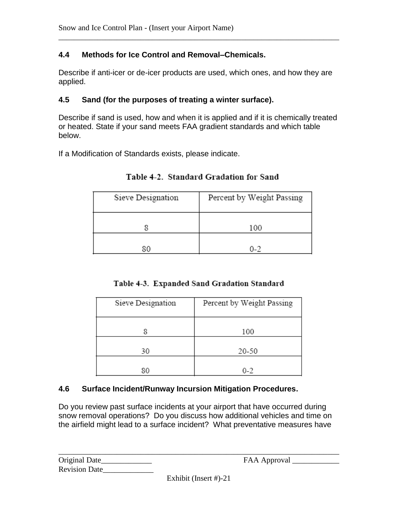#### **4.4 Methods for Ice Control and Removal–Chemicals.**

Describe if anti-icer or de-icer products are used, which ones, and how they are applied.

\_\_\_\_\_\_\_\_\_\_\_\_\_\_\_\_\_\_\_\_\_\_\_\_\_\_\_\_\_\_\_\_\_\_\_\_\_\_\_\_\_\_\_\_\_\_\_\_\_\_\_\_\_\_\_\_\_\_\_\_\_\_\_\_\_\_\_\_\_\_\_\_

#### **4.5 Sand (for the purposes of treating a winter surface).**

Describe if sand is used, how and when it is applied and if it is chemically treated or heated. State if your sand meets FAA gradient standards and which table below.

If a Modification of Standards exists, please indicate.

| Sieve Designation | Percent by Weight Passing |
|-------------------|---------------------------|
|                   | 100                       |
|                   | በ-2                       |

Table 4-2. Standard Gradation for Sand

|  | Table 4-3. Expanded Sand Gradation Standard |  |  |  |
|--|---------------------------------------------|--|--|--|
|--|---------------------------------------------|--|--|--|

| Sieve Designation | Percent by Weight Passing |  |
|-------------------|---------------------------|--|
|                   | 100                       |  |
| 30                | 20-50                     |  |
| 80                | $0 - 2$                   |  |

#### **4.6 Surface Incident/Runway Incursion Mitigation Procedures.**

Do you review past surface incidents at your airport that have occurred during snow removal operations? Do you discuss how additional vehicles and time on the airfield might lead to a surface incident? What preventative measures have

| Original Date_       |  |
|----------------------|--|
| <b>Revision Date</b> |  |

Exhibit (Insert #)-21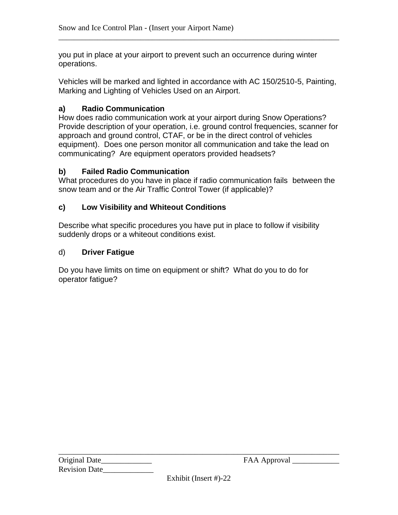you put in place at your airport to prevent such an occurrence during winter operations.

Vehicles will be marked and lighted in accordance with AC 150/2510-5, Painting, Marking and Lighting of Vehicles Used on an Airport.

\_\_\_\_\_\_\_\_\_\_\_\_\_\_\_\_\_\_\_\_\_\_\_\_\_\_\_\_\_\_\_\_\_\_\_\_\_\_\_\_\_\_\_\_\_\_\_\_\_\_\_\_\_\_\_\_\_\_\_\_\_\_\_\_\_\_\_\_\_\_\_\_

#### **a) Radio Communication**

How does radio communication work at your airport during Snow Operations? Provide description of your operation, i.e. ground control frequencies, scanner for approach and ground control, CTAF, or be in the direct control of vehicles equipment). Does one person monitor all communication and take the lead on communicating? Are equipment operators provided headsets?

#### **b) Failed Radio Communication**

What procedures do you have in place if radio communication fails between the snow team and or the Air Traffic Control Tower (if applicable)?

#### **c) Low Visibility and Whiteout Conditions**

Describe what specific procedures you have put in place to follow if visibility suddenly drops or a whiteout conditions exist.

#### d) **Driver Fatigue**

Do you have limits on time on equipment or shift? What do you to do for operator fatigue?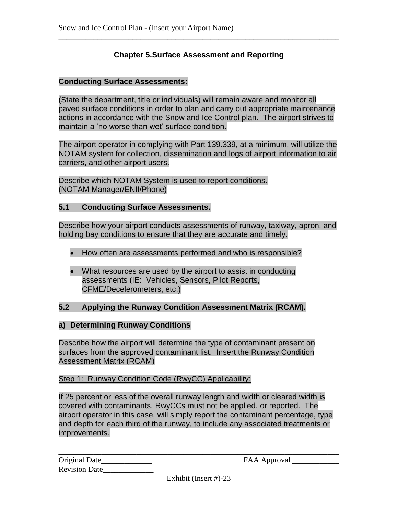#### **Chapter 5.Surface Assessment and Reporting**

\_\_\_\_\_\_\_\_\_\_\_\_\_\_\_\_\_\_\_\_\_\_\_\_\_\_\_\_\_\_\_\_\_\_\_\_\_\_\_\_\_\_\_\_\_\_\_\_\_\_\_\_\_\_\_\_\_\_\_\_\_\_\_\_\_\_\_\_\_\_\_\_

#### **Conducting Surface Assessments:**

(State the department, title or individuals) will remain aware and monitor all paved surface conditions in order to plan and carry out appropriate maintenance actions in accordance with the Snow and Ice Control plan. The airport strives to maintain a 'no worse than wet' surface condition.

The airport operator in complying with Part 139.339, at a minimum, will utilize the NOTAM system for collection, dissemination and logs of airport information to air carriers, and other airport users.

Describe which NOTAM System is used to report conditions. (NOTAM Manager/ENII/Phone)

#### **5.1 Conducting Surface Assessments.**

Describe how your airport conducts assessments of runway, taxiway, apron, and holding bay conditions to ensure that they are accurate and timely.

- How often are assessments performed and who is responsible?
- What resources are used by the airport to assist in conducting assessments (IE: Vehicles, Sensors, Pilot Reports, CFME/Decelerometers, etc.)

#### **5.2 Applying the Runway Condition Assessment Matrix (RCAM).**

#### **a) Determining Runway Conditions**

Describe how the airport will determine the type of contaminant present on surfaces from the approved contaminant list. Insert the Runway Condition Assessment Matrix (RCAM)

#### Step 1: Runway Condition Code (RwyCC) Applicability:

If 25 percent or less of the overall runway length and width or cleared width is covered with contaminants, RwyCCs must not be applied, or reported. The airport operator in this case, will simply report the contaminant percentage, type and depth for each third of the runway, to include any associated treatments or improvements.

| Original Date_       |  |
|----------------------|--|
| <b>Revision Date</b> |  |

Original Date\_\_\_\_\_\_\_\_\_\_\_\_\_ FAA Approval \_\_\_\_\_\_\_\_\_\_\_\_

Exhibit (Insert #)-23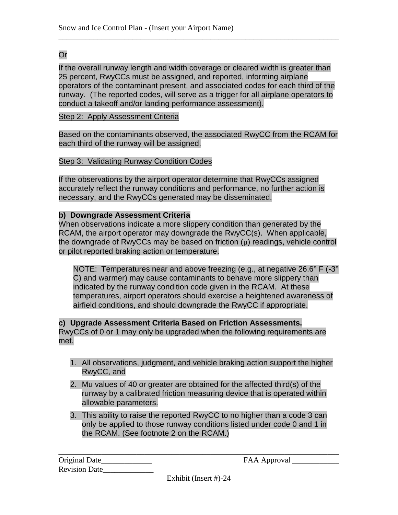#### Or

If the overall runway length and width coverage or cleared width is greater than 25 percent, RwyCCs must be assigned, and reported, informing airplane operators of the contaminant present, and associated codes for each third of the runway. (The reported codes, will serve as a trigger for all airplane operators to conduct a takeoff and/or landing performance assessment).

\_\_\_\_\_\_\_\_\_\_\_\_\_\_\_\_\_\_\_\_\_\_\_\_\_\_\_\_\_\_\_\_\_\_\_\_\_\_\_\_\_\_\_\_\_\_\_\_\_\_\_\_\_\_\_\_\_\_\_\_\_\_\_\_\_\_\_\_\_\_\_\_

#### Step 2: Apply Assessment Criteria

Based on the contaminants observed, the associated RwyCC from the RCAM for each third of the runway will be assigned.

#### Step 3: Validating Runway Condition Codes

If the observations by the airport operator determine that RwyCCs assigned accurately reflect the runway conditions and performance, no further action is necessary, and the RwyCCs generated may be disseminated.

#### **b) Downgrade Assessment Criteria**

When observations indicate a more slippery condition than generated by the RCAM, the airport operator may downgrade the RwyCC(s). When applicable, the downgrade of RwyCCs may be based on friction  $(\mu)$  readings, vehicle control or pilot reported braking action or temperature.

NOTE: Temperatures near and above freezing (e.g., at negative 26.6° F (-3° C) and warmer) may cause contaminants to behave more slippery than indicated by the runway condition code given in the RCAM. At these temperatures, airport operators should exercise a heightened awareness of airfield conditions, and should downgrade the RwyCC if appropriate.

#### **c) Upgrade Assessment Criteria Based on Friction Assessments.**

RwyCCs of 0 or 1 may only be upgraded when the following requirements are met.

- 1. All observations, judgment, and vehicle braking action support the higher RwyCC, and
- 2. Mu values of 40 or greater are obtained for the affected third(s) of the runway by a calibrated friction measuring device that is operated within allowable parameters.
- 3. This ability to raise the reported RwyCC to no higher than a code 3 can only be applied to those runway conditions listed under code 0 and 1 in the RCAM. (See footnote 2 on the RCAM.)

| Original Date_       |  |
|----------------------|--|
| <b>Revision Date</b> |  |

Original Date\_\_\_\_\_\_\_\_\_\_\_\_\_ FAA Approval \_\_\_\_\_\_\_\_\_\_\_\_

Exhibit (Insert #)-24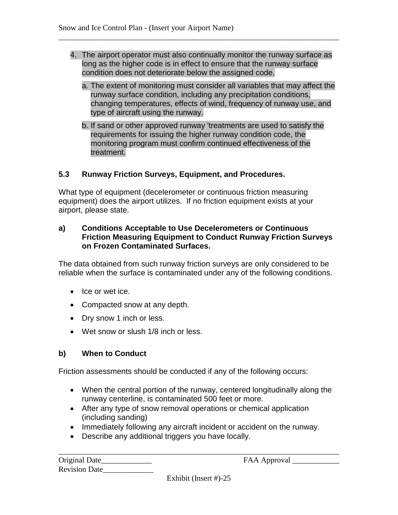4. The airport operator must also continually monitor the runway surface as long as the higher code is in effect to ensure that the runway surface condition does not deteriorate below the assigned code.

\_\_\_\_\_\_\_\_\_\_\_\_\_\_\_\_\_\_\_\_\_\_\_\_\_\_\_\_\_\_\_\_\_\_\_\_\_\_\_\_\_\_\_\_\_\_\_\_\_\_\_\_\_\_\_\_\_\_\_\_\_\_\_\_\_\_\_\_\_\_\_\_

- a. The extent of monitoring must consider all variables that may affect the runway surface condition, including any precipitation conditions, changing temperatures, effects of wind, frequency of runway use, and type of aircraft using the runway.
- b. If sand or other approved runway 'treatments are used to satisfy the requirements for issuing the higher runway condition code, the monitoring program must confirm continued effectiveness of the treatment.

#### **5.3 Runway Friction Surveys, Equipment, and Procedures.**

What type of equipment (decelerometer or continuous friction measuring equipment) does the airport utilizes. If no friction equipment exists at your airport, please state.

#### **a) Conditions Acceptable to Use Decelerometers or Continuous Friction Measuring Equipment to Conduct Runway Friction Surveys on Frozen Contaminated Surfaces.**

The data obtained from such runway friction surveys are only considered to be reliable when the surface is contaminated under any of the following conditions.

- Ice or wet ice.
- Compacted snow at any depth.
- Dry snow 1 inch or less.
- Wet snow or slush 1/8 inch or less.

#### **b) When to Conduct**

Friction assessments should be conducted if any of the following occurs:

- When the central portion of the runway, centered longitudinally along the runway centerline, is contaminated 500 feet or more.
- After any type of snow removal operations or chemical application (including sanding)
- Immediately following any aircraft incident or accident on the runway.
- Describe any additional triggers you have locally.

| Original Date        |  |
|----------------------|--|
| <b>Revision Date</b> |  |

Original Date\_\_\_\_\_\_\_\_\_\_\_\_\_ FAA Approval \_\_\_\_\_\_\_\_\_\_\_\_

Exhibit (Insert #)-25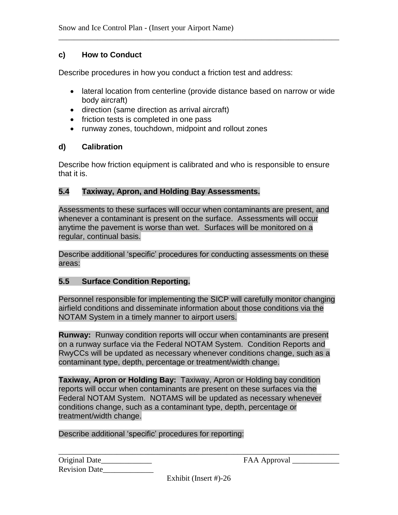#### **c) How to Conduct**

Describe procedures in how you conduct a friction test and address:

 lateral location from centerline (provide distance based on narrow or wide body aircraft)

\_\_\_\_\_\_\_\_\_\_\_\_\_\_\_\_\_\_\_\_\_\_\_\_\_\_\_\_\_\_\_\_\_\_\_\_\_\_\_\_\_\_\_\_\_\_\_\_\_\_\_\_\_\_\_\_\_\_\_\_\_\_\_\_\_\_\_\_\_\_\_\_

- direction (same direction as arrival aircraft)
- friction tests is completed in one pass
- runway zones, touchdown, midpoint and rollout zones

#### **d) Calibration**

Describe how friction equipment is calibrated and who is responsible to ensure that it is.

#### **5.4 Taxiway, Apron, and Holding Bay Assessments.**

Assessments to these surfaces will occur when contaminants are present, and whenever a contaminant is present on the surface. Assessments will occur anytime the pavement is worse than wet. Surfaces will be monitored on a regular, continual basis.

Describe additional 'specific' procedures for conducting assessments on these areas:

#### **5.5 Surface Condition Reporting.**

Personnel responsible for implementing the SICP will carefully monitor changing airfield conditions and disseminate information about those conditions via the NOTAM System in a timely manner to airport users.

**Runway:** Runway condition reports will occur when contaminants are present on a runway surface via the Federal NOTAM System. Condition Reports and RwyCCs will be updated as necessary whenever conditions change, such as a contaminant type, depth, percentage or treatment/width change.

**Taxiway, Apron or Holding Bay:** Taxiway, Apron or Holding bay condition reports will occur when contaminants are present on these surfaces via the Federal NOTAM System. NOTAMS will be updated as necessary whenever conditions change, such as a contaminant type, depth, percentage or treatment/width change.

Describe additional 'specific' procedures for reporting:

| Original Date        |  |
|----------------------|--|
| <b>Revision Date</b> |  |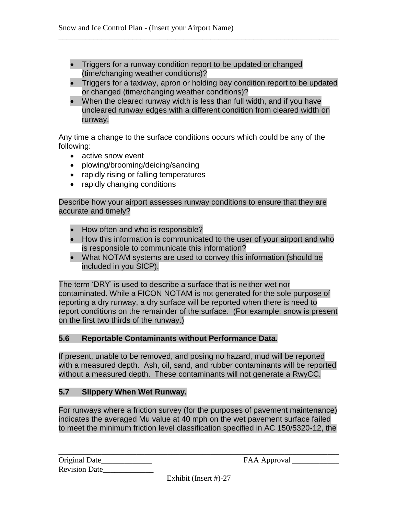- Triggers for a runway condition report to be updated or changed (time/changing weather conditions)?
- Triggers for a taxiway, apron or holding bay condition report to be updated or changed (time/changing weather conditions)?

\_\_\_\_\_\_\_\_\_\_\_\_\_\_\_\_\_\_\_\_\_\_\_\_\_\_\_\_\_\_\_\_\_\_\_\_\_\_\_\_\_\_\_\_\_\_\_\_\_\_\_\_\_\_\_\_\_\_\_\_\_\_\_\_\_\_\_\_\_\_\_\_

 When the cleared runway width is less than full width, and if you have uncleared runway edges with a different condition from cleared width on runway.

Any time a change to the surface conditions occurs which could be any of the following:

- active snow event
- plowing/brooming/deicing/sanding
- rapidly rising or falling temperatures
- rapidly changing conditions

Describe how your airport assesses runway conditions to ensure that they are accurate and timely?

- How often and who is responsible?
- How this information is communicated to the user of your airport and who is responsible to communicate this information?
- What NOTAM systems are used to convey this information (should be included in you SICP).

The term 'DRY' is used to describe a surface that is neither wet nor contaminated. While a FICON NOTAM is not generated for the sole purpose of reporting a dry runway, a dry surface will be reported when there is need to report conditions on the remainder of the surface. (For example: snow is present on the first two thirds of the runway.)

#### **5.6 Reportable Contaminants without Performance Data.**

If present, unable to be removed, and posing no hazard, mud will be reported with a measured depth. Ash, oil, sand, and rubber contaminants will be reported without a measured depth. These contaminants will not generate a RwyCC.

#### **5.7 Slippery When Wet Runway.**

For runways where a friction survey (for the purposes of pavement maintenance) indicates the averaged Mu value at 40 mph on the wet pavement surface failed to meet the minimum friction level classification specified in AC 150/5320-12, the

| Original Date        |  |
|----------------------|--|
| <b>Revision Date</b> |  |

Original Date\_\_\_\_\_\_\_\_\_\_\_\_\_ FAA Approval \_\_\_\_\_\_\_\_\_\_\_\_

Exhibit (Insert #)-27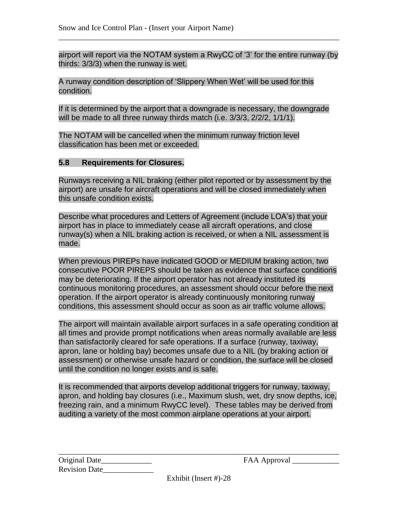airport will report via the NOTAM system a RwyCC of '3' for the entire runway (by thirds: 3/3/3) when the runway is wet.

\_\_\_\_\_\_\_\_\_\_\_\_\_\_\_\_\_\_\_\_\_\_\_\_\_\_\_\_\_\_\_\_\_\_\_\_\_\_\_\_\_\_\_\_\_\_\_\_\_\_\_\_\_\_\_\_\_\_\_\_\_\_\_\_\_\_\_\_\_\_\_\_

A runway condition description of 'Slippery When Wet' will be used for this condition.

If it is determined by the airport that a downgrade is necessary, the downgrade will be made to all three runway thirds match (i.e. 3/3/3, 2/2/2, 1/1/1).

The NOTAM will be cancelled when the minimum runway friction level classification has been met or exceeded.

#### **5.8 Requirements for Closures.**

Runways receiving a NIL braking (either pilot reported or by assessment by the airport) are unsafe for aircraft operations and will be closed immediately when this unsafe condition exists.

Describe what procedures and Letters of Agreement (include LOA's) that your airport has in place to immediately cease all aircraft operations, and close runway(s) when a NIL braking action is received, or when a NIL assessment is made.

When previous PIREPs have indicated GOOD or MEDIUM braking action, two consecutive POOR PIREPS should be taken as evidence that surface conditions may be deteriorating. If the airport operator has not already instituted its continuous monitoring procedures, an assessment should occur before the next operation. If the airport operator is already continuously monitoring runway conditions, this assessment should occur as soon as air traffic volume allows.

The airport will maintain available airport surfaces in a safe operating condition at all times and provide prompt notifications when areas normally available are less than satisfactorily cleared for safe operations. If a surface (runway, taxiway, apron, lane or holding bay) becomes unsafe due to a NIL (by braking action or assessment) or otherwise unsafe hazard or condition, the surface will be closed until the condition no longer exists and is safe.

It is recommended that airports develop additional triggers for runway, taxiway, apron, and holding bay closures (i.e., Maximum slush, wet, dry snow depths, ice, freezing rain, and a minimum RwyCC level). These tables may be derived from auditing a variety of the most common airplane operations at your airport.

| Original Date        |  |
|----------------------|--|
| <b>Revision Date</b> |  |